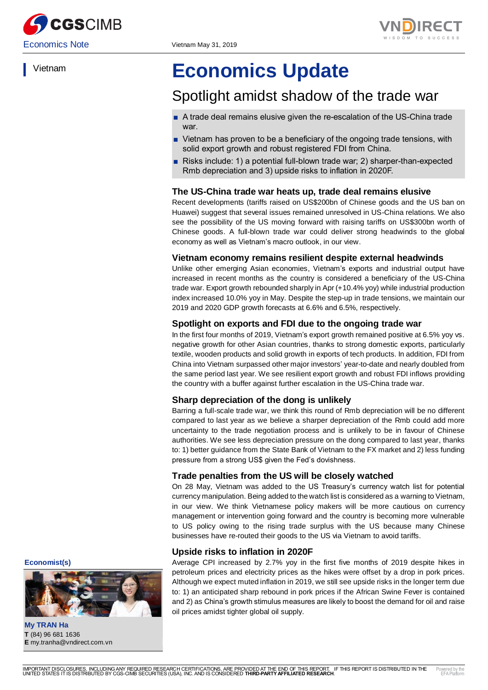



Vietnam

# **Economics Update**

## Spotlight amidst shadow of the trade war

- A trade deal remains elusive given the re-escalation of the US-China trade war.
- Vietnam has proven to be a beneficiary of the ongoing trade tensions, with solid export growth and robust registered FDI from China.
- Risks include: 1) a potential full-blown trade war; 2) sharper-than-expected Rmb depreciation and 3) upside risks to inflation in 2020F.

#### **The US-China trade war heats up, trade deal remains elusive**

Recent developments (tariffs raised on US\$200bn of Chinese goods and the US ban on Huawei) suggest that several issues remained unresolved in US-China relations. We also see the possibility of the US moving forward with raising tariffs on US\$300bn worth of Chinese goods. A full-blown trade war could deliver strong headwinds to the global economy as well as Vietnam's macro outlook, in our view.

#### **Vietnam economy remains resilient despite external headwinds**

Unlike other emerging Asian economies, Vietnam's exports and industrial output have increased in recent months as the country is considered a beneficiary of the US-China trade war. Export growth rebounded sharply in Apr (+10.4% yoy) while industrial production index increased 10.0% yoy in May. Despite the step-up in trade tensions, we maintain our 2019 and 2020 GDP growth forecasts at 6.6% and 6.5%, respectively.

#### **Spotlight on exports and FDI due to the ongoing trade war**

In the first four months of 2019, Vietnam's export growth remained positive at 6.5% yoy vs. negative growth for other Asian countries, thanks to strong domestic exports, particularly textile, wooden products and solid growth in exports of tech products. In addition, FDI from China into Vietnam surpassed other major investors' year-to-date and nearly doubled from the same period last year. We see resilient export growth and robust FDI inflows providing the country with a buffer against further escalation in the US-China trade war.

#### **Sharp depreciation of the dong is unlikely**

Barring a full-scale trade war, we think this round of Rmb depreciation will be no different compared to last year as we believe a sharper depreciation of the Rmb could add more uncertainty to the trade negotiation process and is unlikely to be in favour of Chinese authorities. We see less depreciation pressure on the dong compared to last year, thanks to: 1) better guidance from the State Bank of Vietnam to the FX market and 2) less funding pressure from a strong US\$ given the Fed's dovishness.

#### **Trade penalties from the US will be closely watched**

On 28 May, Vietnam was added to the US Treasury's currency watch list for potential currency manipulation. Being added to the watch list is considered as a warning to Vietnam, in our view. We think Vietnamese policy makers will be more cautious on currency management or intervention going forward and the country is becoming more vulnerable to US policy owing to the rising trade surplus with the US because many Chinese businesses have re-routed their goods to the US via Vietnam to avoid tariffs.

#### **Upside risks to inflation in 2020F**

Average CPI increased by 2.7% yoy in the first five months of 2019 despite hikes in petroleum prices and electricity prices as the hikes were offset by a drop in pork prices. Although we expect muted inflation in 2019, we still see upside risks in the longer term due to: 1) an anticipated sharp rebound in pork prices if the African Swine Fever is contained and 2) as China's growth stimulus measures are likely to boost the demand for oil and raise oil prices amidst tighter global oil supply.

**Economist(s)**



**My TRAN Ha T** (84) 96 681 1636 **E** my.tranha@vndirect.com.vn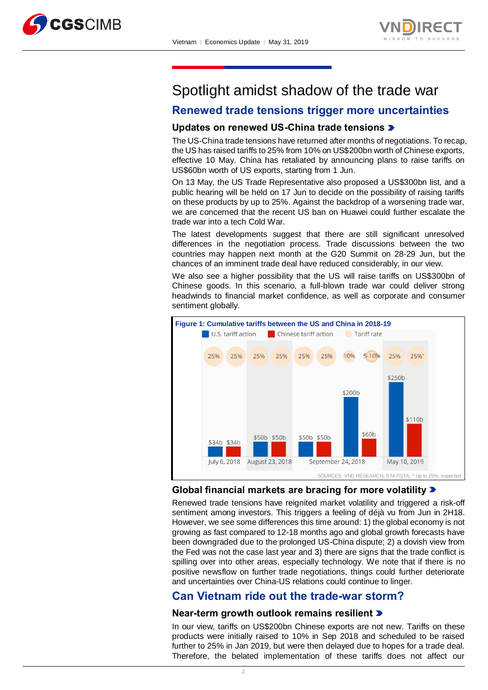



## Spotlight amidst shadow of the trade war

## **Renewed trade tensions trigger more uncertainties**

## **Updates on renewed US-China trade tensions**

The US-China trade tensions have returned after months of negotiations. To recap, the US has raised tariffs to 25% from 10% on US\$200bn worth of Chinese exports, effective 10 May. China has retaliated by announcing plans to raise tariffs on US\$60bn worth of US exports, starting from 1 Jun.

On 13 May, the US Trade Representative also proposed a US\$300bn [list,](https://ustr.gov/sites/default/files/enforcement/301Investigations/May_2019_Proposed_Modification.pdf) and a public hearing will be held on 17 Jun to decide on the possibility of raising tariffs on these products by up to 25%. Against the backdrop of a worsening trade war, we are concerned that the recent US ban on Huawei could further escalate the trade war into a tech Cold War.

The latest developments suggest that there are still significant unresolved differences in the negotiation process. Trade discussions between the two countries may happen next month at the G20 Summit on 28-29 Jun, but the chances of an imminent trade deal have reduced considerably, in our view.

We also see a higher possibility that the US will raise tariffs on US\$300bn of Chinese goods. In this scenario, a full-blown trade war could deliver strong headwinds to financial market confidence, as well as corporate and consumer sentiment globally.



## **Global financial markets are bracing for more volatility**

Renewed trade tensions have reignited market volatility and triggered a risk-off sentiment among investors. This triggers a feeling of déjà vu from Jun in 2H18. However, we see some differences this time around: 1) the global economy is not growing as fast compared to 12-18 months ago and global growth forecasts have been downgraded due to the prolonged US-China dispute; 2) a dovish view from the Fed was not the case last year and 3) there are signs that the trade conflict is spilling over into other areas, especially technology. We note that if there is no positive newsflow on further trade negotiations, things could further deteriorate and uncertainties over China-US relations could continue to linger.

## **Can Vietnam ride out the trade-war storm?**

#### **Near-term growth outlook remains resilient**

In our view, tariffs on US\$200bn Chinese exports are not new. Tariffs on these products were initially raised to 10% in Sep 2018 and scheduled to be raised further to 25% in Jan 2019, but were then delayed due to hopes for a trade deal. Therefore, the belated implementation of these tariffs does not affect our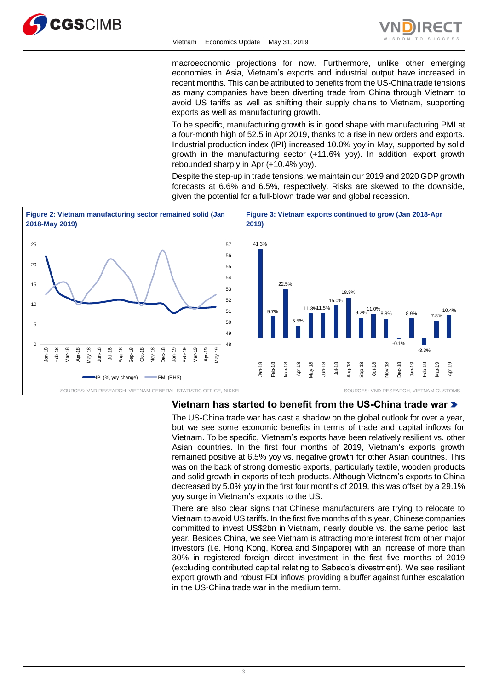



macroeconomic projections for now. Furthermore, unlike other emerging economies in Asia, Vietnam's exports and industrial output have increased in recent months. This can be attributed to benefits from the US-China trade tensions as many companies have been diverting trade from China through Vietnam to avoid US tariffs as well as shifting their supply chains to Vietnam, supporting exports as well as manufacturing growth.

To be specific, manufacturing growth is in good shape with manufacturing PMI at a four-month high of 52.5 in Apr 2019, thanks to a rise in new orders and exports. Industrial production index (IPI) increased 10.0% yoy in May, supported by solid growth in the manufacturing sector (+11.6% yoy). In addition, export growth rebounded sharply in Apr (+10.4% yoy).

Despite the step-up in trade tensions, we maintain our 2019 and 2020 GDP growth forecasts at 6.6% and 6.5%, respectively. Risks are skewed to the downside, given the potential for a full-blown trade war and global recession.



#### **Vietnam has started to benefit from the US-China trade war**

The US-China trade war has cast a shadow on the global outlook for over a year, but we see some economic benefits in terms of trade and capital inflows for Vietnam. To be specific, Vietnam's exports have been relatively resilient vs. other Asian countries. In the first four months of 2019, Vietnam's exports growth remained positive at 6.5% yoy vs. negative growth for other Asian countries. This was on the back of strong domestic exports, particularly textile, wooden products and solid growth in exports of tech products. Although Vietnam's exports to China decreased by 5.0% yoy in the first four months of 2019, this was offset by a 29.1% yoy surge in Vietnam's exports to the US.

There are also clear signs that Chinese manufacturers are trying to relocate to Vietnam to avoid US tariffs. In the first five months of this year, Chinese companies committed to invest US\$2bn in Vietnam, nearly double vs. the same period last year. Besides China, we see Vietnam is attracting more interest from other major investors (i.e. Hong Kong, Korea and Singapore) with an increase of more than 30% in registered foreign direct investment in the first five months of 2019 (excluding contributed capital relating to Sabeco's divestment). We see resilient export growth and robust FDI inflows providing a buffer against further escalation in the US-China trade war in the medium term.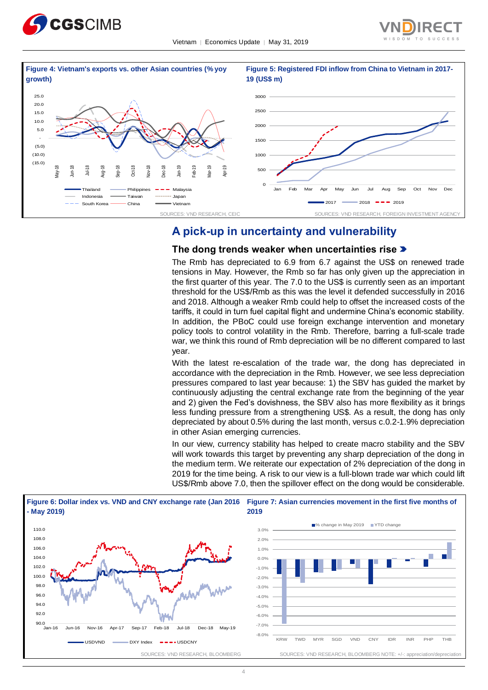





## **A pick-up in uncertainty and vulnerability**

#### **The dong trends weaker when uncertainties rise**

The Rmb has depreciated to 6.9 from 6.7 against the US\$ on renewed trade tensions in May. However, the Rmb so far has only given up the appreciation in the first quarter of this year. The 7.0 to the US\$ is currently seen as an important threshold for the US\$/Rmb as this was the level it defended successfully in 2016 and 2018. Although a weaker Rmb could help to offset the increased costs of the tariffs, it could in turn fuel capital flight and undermine China's economic stability. In addition, the PBoC could use foreign exchange intervention and monetary policy tools to control volatility in the Rmb. Therefore, barring a full-scale trade war, we think this round of Rmb depreciation will be no different compared to last year.

With the latest re-escalation of the trade war, the dong has depreciated in accordance with the depreciation in the Rmb. However, we see less depreciation pressures compared to last year because: 1) the SBV has guided the market by continuously adjusting the central exchange rate from the beginning of the year and 2) given the Fed's dovishness, the SBV also has more flexibility as it brings less funding pressure from a strengthening US\$. As a result, the dong has only depreciated by about 0.5% during the last month, versus c.0.2-1.9% depreciation in other Asian emerging currencies.

In our view, currency stability has helped to create macro stability and the SBV will work towards this target by preventing any sharp depreciation of the dong in the medium term. We reiterate our expectation of 2% depreciation of the dong in 2019 for the time being. A risk to our view is a full-blown trade war which could lift US\$/Rmb above 7.0, then the spillover effect on the dong would be considerable.

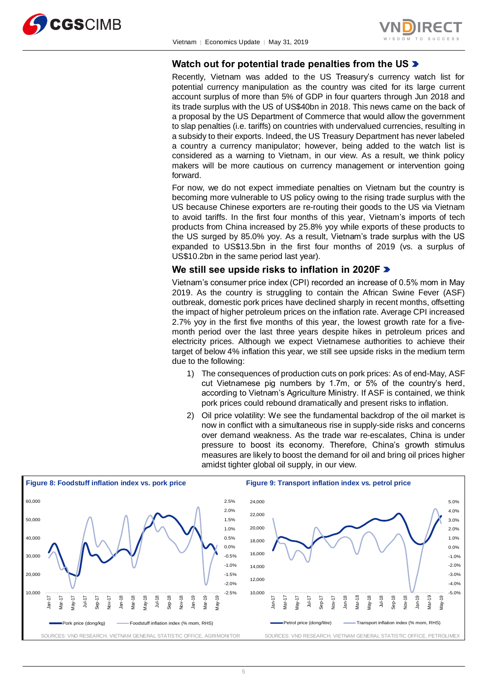



## **Watch out for potential trade penalties from the US**

Recently, Vietnam was added to the US Treasury's currency watch list for potential currency manipulation as the country was cited for its large current account surplus of more than 5% of GDP in four quarters through Jun 2018 and its trade surplus with the US of US\$40bn in 2018. This news came on the back of a proposal by the US Department of Commerce that would allow the government to slap penalties (i.e. tariffs) on countries with undervalued currencies, resulting in a subsidy to their exports. Indeed, the US Treasury Department has never labeled a country a currency manipulator; however, being added to the watch list is considered as a warning to Vietnam, in our view. As a result, we think policy makers will be more cautious on currency management or intervention going forward.

For now, we do not expect immediate penalties on Vietnam but the country is becoming more vulnerable to US policy owing to the rising trade surplus with the US because Chinese exporters are re-routing their goods to the US via Vietnam to avoid tariffs. In the first four months of this year, Vietnam's imports of tech products from China increased by 25.8% yoy while exports of these products to the US surged by 85.0% yoy. As a result, Vietnam's trade surplus with the US expanded to US\$13.5bn in the first four months of 2019 (vs. a surplus of US\$10.2bn in the same period last year).

#### **We still see upside risks to inflation in 2020F**

Vietnam's consumer price index (CPI) recorded an increase of 0.5% mom in May 2019. As the country is struggling to contain the African Swine Fever (ASF) outbreak, domestic pork prices have declined sharply in recent months, offsetting the impact of higher petroleum prices on the inflation rate. Average CPI increased 2.7% yoy in the first five months of this year, the lowest growth rate for a fivemonth period over the last three years despite hikes in petroleum prices and electricity prices. Although we expect Vietnamese authorities to achieve their target of below 4% inflation this year, we still see upside risks in the medium term due to the following:

- 1) The consequences of production cuts on pork prices: As of end-May, ASF cut Vietnamese pig numbers by 1.7m, or 5% of the country's herd, according to Vietnam's Agriculture Ministry. If ASF is contained, we think pork prices could rebound dramatically and present risks to inflation.
- 2) Oil price volatility: We see the fundamental backdrop of the oil market is now in conflict with a simultaneous rise in supply-side risks and concerns over demand weakness. As the trade war re-escalates, China is under pressure to boost its economy. Therefore, China's growth stimulus measures are likely to boost the demand for oil and bring oil prices higher amidst tighter global oil supply, in our view.

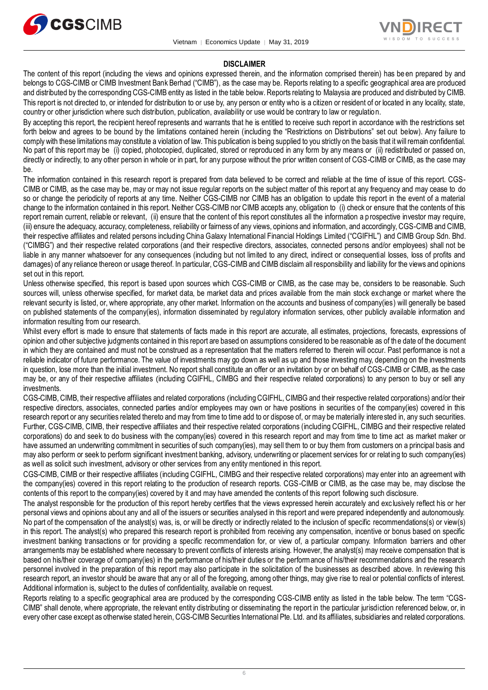



#### **DISCLAIMER**

The content of this report (including the views and opinions expressed therein, and the information comprised therein) has be en prepared by and belongs to CGS-CIMB or CIMB Investment Bank Berhad ("CIMB"), as the case may be. Reports relating to a specific geographical area are produced and distributed by the corresponding CGS-CIMB entity as listed in the table below. Reports relating to Malaysia are produced and distributed by CIMB. This report is not directed to, or intended for distribution to or use by, any person or entity who is a citizen or resident of or located in any locality, state, country or other jurisdiction where such distribution, publication, availability or use would be contrary to law or regulation.

By accepting this report, the recipient hereof represents and warrants that he is entitled to receive such report in accordance with the restrictions set forth below and agrees to be bound by the limitations contained herein (including the "Restrictions on Distributions" set out below). Any failure to comply with these limitations may constitute a violation of law. This publication is being supplied to you strictly on the basis that it will remain confidential. No part of this report may be (i) copied, photocopied, duplicated, stored or reproduced in any form by any means or (ii) redistributed or passed on, directly or indirectly, to any other person in whole or in part, for any purpose without the prior written consent of CGS-CIMB or CIMB, as the case may be.

The information contained in this research report is prepared from data believed to be correct and reliable at the time of issue of this report. CGS-CIMB or CIMB, as the case may be, may or may not issue regular reports on the subject matter of this report at any frequency and may cease to do so or change the periodicity of reports at any time. Neither CGS-CIMB nor CIMB has an obligation to update this report in the event of a material change to the information contained in this report. Neither CGS-CIMB nor CIMB accepts any, obligation to (i) check or ensure that the contents of this report remain current, reliable or relevant, (ii) ensure that the content of this report constitutes all the information a prospective investor may require, (iii) ensure the adequacy, accuracy, completeness, reliability or fairness of any views, opinions and information, and accordingly, CGS-CIMB and CIMB, their respective affiliates and related persons including China Galaxy International Financial Holdings Limited ("CGIFHL") and CIMB Group Sdn. Bhd. ("CIMBG") and their respective related corporations (and their respective directors, associates, connected persons and/or employees) shall not be liable in any manner whatsoever for any consequences (including but not limited to any direct, indirect or consequential losses, loss of profits and damages) of any reliance thereon or usage thereof. In particular, CGS-CIMB and CIMB disclaim all responsibility and liability for the views and opinions set out in this report.

Unless otherwise specified, this report is based upon sources which CGS-CIMB or CIMB, as the case may be, considers to be reasonable. Such sources will, unless otherwise specified, for market data, be market data and prices available from the main stock exchange or market where the relevant security is listed, or, where appropriate, any other market. Information on the accounts and business of company(ies) will generally be based on published statements of the company(ies), information disseminated by regulatory information services, other publicly available information and information resulting from our research.

Whilst every effort is made to ensure that statements of facts made in this report are accurate, all estimates, projections, forecasts, expressions of opinion and other subjective judgments contained in this report are based on assumptions considered to be reasonable as of the date of the document in which they are contained and must not be construed as a representation that the matters referred to therein will occur. Past performance is not a reliable indicator of future performance. The value of investments may go down as well as up and those investing may, depending on the investments in question, lose more than the initial investment. No report shall constitute an offer or an invitation by or on behalf of CGS-CIMB or CIMB, as the case may be, or any of their respective affiliates (including CGIFHL, CIMBG and their respective related corporations) to any person to buy or sell any investments.

CGS-CIMB, CIMB, their respective affiliates and related corporations (including CGIFHL, CIMBG and their respective related corporations) and/or their respective directors, associates, connected parties and/or employees may own or have positions in securities of the company(ies) covered in this research report or any securities related thereto and may from time to time add to or dispose of, or may be materially interested in, any such securities. Further, CGS-CIMB, CIMB, their respective affiliates and their respective related corporations (including CGIFHL, CIMBG and their respective related corporations) do and seek to do business with the company(ies) covered in this research report and may from time to time act as market maker or have assumed an underwriting commitment in securities of such company(ies), may sell them to or buy them from customers on a principal basis and may also perform or seek to perform significant investment banking, advisory, underwriting or placement services for or relat ing to such company(ies) as well as solicit such investment, advisory or other services from any entity mentioned in this report.

CGS-CIMB, CIMB or their respective affiliates (including CGIFHL, CIMBG and their respective related corporations) may enter into an agreement with the company(ies) covered in this report relating to the production of research reports. CGS-CIMB or CIMB, as the case may be, may disclose the contents of this report to the company(ies) covered by it and may have amended the contents of this report following such disclosure.

The analyst responsible for the production of this report hereby certifies that the views expressed herein accurately and exc lusively reflect his or her personal views and opinions about any and all of the issuers or securities analysed in this report and were prepared independently and autonomously. No part of the compensation of the analyst(s) was, is, or will be directly or indirectly related to the inclusion of specific recommendations(s) or view(s) in this report. The analyst(s) who prepared this research report is prohibited from receiving any compensation, incentive or bonus based on specific investment banking transactions or for providing a specific recommendation for, or view of, a particular company. Information barriers and other arrangements may be established where necessary to prevent conflicts of interests arising. However, the analyst(s) may receive compensation that is based on his/their coverage of company(ies) in the performance of his/their duties or the performance of his/their recommendations and the research personnel involved in the preparation of this report may also participate in the solicitation of the businesses as described above. In reviewing this research report, an investor should be aware that any or all of the foregoing, among other things, may give rise to real or potential conflicts of interest. Additional information is, subject to the duties of confidentiality, available on request.

Reports relating to a specific geographical area are produced by the corresponding CGS-CIMB entity as listed in the table below. The term "CGS-CIMB" shall denote, where appropriate, the relevant entity distributing or disseminating the report in the particular jurisdiction referenced below, or, in every other case except as otherwise stated herein, CGS-CIMB Securities International Pte. Ltd. and its affiliates, subsidiaries and related corporations.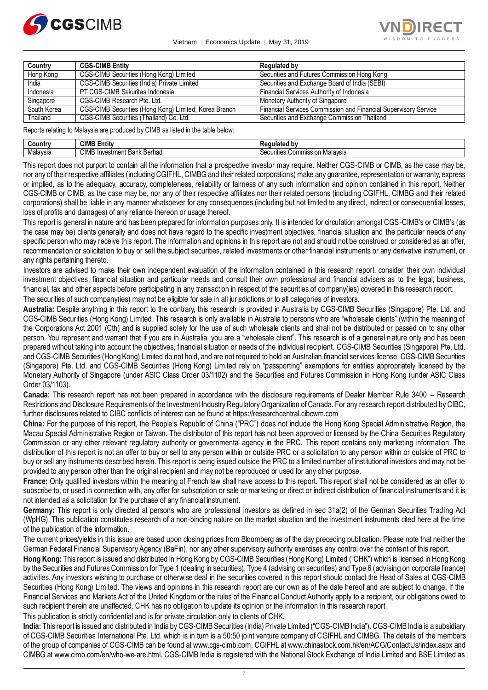

Vietnam │ Economics Update │ May 31, 2019



| Country     | <b>CGS-CIMB Entity</b>                                | <b>Regulated by</b>                                             |
|-------------|-------------------------------------------------------|-----------------------------------------------------------------|
| Hong Kong   | <b>CGS-CIMB Securities (Hong Kong) Limited</b>        | Securities and Futures Commission Hong Kong                     |
| India       | CGS-CIMB Securities (India) Private Limited           | Securities and Exchange Board of India (SEBI)                   |
| Indonesia   | PT CGS-CIMB Sekuritas Indonesia                       | Financial Services Authority of Indonesia                       |
| Singapore   | CGS-CIMB Research Pte. Ltd.                           | Monetary Authority of Singapore                                 |
| South Korea | CGS-CIMB Securities (Hong Kong) Limited, Korea Branch | Financial Services Commission and Financial Supervisory Service |
| Thailand    | CGS-CIMB Securities (Thailand) Co. Ltd.               | Securities and Exchange Commission Thailand                     |

Reports relating to Malaysia are produced by CIMB as listed in the table below:

| ວuntr    | 7111<br>Entity<br>ᄓᇭ                                 |                                        |
|----------|------------------------------------------------------|----------------------------------------|
| Malaysia | $\sim$ 18.45<br>Berhad<br>.estmen*<br>. Bank<br>Inve | Malaysia<br>;ommission<br>11111000<br> |

This report does not purport to contain all the information that a prospective investor may require. Neither CGS-CIMB or CIMB, as the case may be, nor any of their respective affiliates (including CGIFHL, CIMBG and their related corporations) make any guarantee, representation or warranty, express or implied, as to the adequacy, accuracy, completeness, reliability or fairness of any such information and opinion contained in this report. Neither CGS-CIMB or CIMB, as the case may be, nor any of their respective affiliates nor their related persons (including CGIFHL, CIMBG and their related corporations) shall be liable in any manner whatsoever for any consequences (including but not limited to any direct, indirect or consequential losses, loss of profits and damages) of any reliance thereon or usage thereof.

This report is general in nature and has been prepared for information purposes only. It is intended for circulation amongst CGS-CIMB's or CIMB's (as the case may be) clients generally and does not have regard to the specific investment objectives, financial situation and the particular needs of any specific person who may receive this report. The information and opinions in this report are not and should not be construed or considered as an offer, recommendation or solicitation to buy or sell the subject securities, related investments or other financial instruments or any derivative instrument, or any rights pertaining thereto.

Investors are advised to make their own independent evaluation of the information contained in this research report, consider their own individual investment objectives, financial situation and particular needs and consult their own professional and financial advisers as to the legal, business, financial, tax and other aspects before participating in any transaction in respect of the securities of company(ies) covered in this research report.

The securities of such company(ies) may not be eligible for sale in all jurisdictions or to all categories of investors.

**Australia:** Despite anything in this report to the contrary, this research is provided in Australia by CGS-CIMB Securities (Singapore) Pte. Ltd. and CGS-CIMB Securities (Hong Kong) Limited. This research is only available in Australia to persons who are "wholesale clients" (within the meaning of the Corporations Act 2001 (Cth) and is supplied solely for the use of such wholesale clients and shall not be distributed or passed on to any other person. You represent and warrant that if you are in Australia, you are a "wholesale client". This research is of a general nature only and has been prepared without taking into account the objectives, financial situation or needs of the individual recipient. CGS-CIMB Securities (Singapore) Pte. Ltd. and CGS-CIMB Securities (Hong Kong) Limited do not hold, and are not required to hold an Australian financial services license. CGS-CIMB Securities (Singapore) Pte. Ltd. and CGS-CIMB Securities (Hong Kong) Limited rely on "passporting" exemptions for entities appropriately licensed by the Monetary Authority of Singapore (under ASIC Class Order 03/1102) and the Securities and Futures Commission in Hong Kong (under ASIC Class Order 03/1103).

**Canada:** This research report has not been prepared in accordance with the disclosure requirements of Dealer Member Rule 3400 – Research Restrictions and Disclosure Requirements of the Investment Industry Regulatory Organization of Canada. For any research report distributed by CIBC, further disclosures related to CIBC conflicts of interest can be found at https://researchcentral.cibcwm.com .

**China:** For the purpose of this report, the People's Republic of China ("PRC") does not include the Hong Kong Special Administrative Region, the Macau Special Administrative Region or Taiwan. The distributor of this report has not been approved or licensed by the China Securities Regulatory Commission or any other relevant regulatory authority or governmental agency in the PRC. This report contains only marketing information. The distribution of this report is not an offer to buy or sell to any person within or outside PRC or a solicitation to any perso n within or outside of PRC to buy or sell any instruments described herein. This report is being issued outside the PRC to a limited number of institutional investors and may not be provided to any person other than the original recipient and may not be reproduced or used for any other purpose.

**France:** Only qualified investors within the meaning of French law shall have access to this report. This report shall not be considered as an offer to subscribe to, or used in connection with, any offer for subscription or sale or marketing or direct or indirect distribution of financial instruments and it is not intended as a solicitation for the purchase of any financial instrument.

**Germany:** This report is only directed at persons who are professional investors as defined in sec 31a(2) of the German Securities Trad ing Act (WpHG). This publication constitutes research of a non-binding nature on the market situation and the investment instruments cited here at the time of the publication of the information.

The current prices/yields in this issue are based upon closing prices from Bloomberg as of the day preceding publication. Please note that neither the German Federal Financial Supervisory Agency (BaFin), nor any other supervisory authority exercises any control over the content of this report.

**Hong Kong:** This report is issued and distributed in Hong Kong by CGS-CIMB Securities (Hong Kong) Limited ("CHK") which is licensed in Hong Kong by the Securities and Futures Commission for Type 1 (dealing in securities), Type 4 (advising on securities) and Type 6 (advising on corporate finance) activities. Any investors wishing to purchase or otherwise deal in the securities covered in this report should contact the Head of Sales at CGS-CIMB Securities (Hong Kong) Limited. The views and opinions in this research report are our own as of the date hereof and are subject to change. If the Financial Services and Markets Act of the United Kingdom or the rules of the Financial Conduct Authority apply to a recipient, our obligations owed to such recipient therein are unaffected. CHK has no obligation to update its opinion or the information in this research report.

This publication is strictly confidential and is for private circulation only to clients of CHK.

**India:** This report is issued and distributed in India by CGS-CIMB Securities (India) Private Limited ("CGS-CIMB India"). CGS-CIMB India is a subsidiary of CGS-CIMB Securities International Pte. Ltd. which is in turn is a 50:50 joint venture company of CGIFHL and CIMBG. The details of the members of the group of companies of CGS-CIMB can be found at www.cgs-cimb.com, CGIFHL at www.chinastock.com.hk/en/ACG/ContactUs/index.aspx and CIMBG at www.cimb.com/en/who-we-are.html. CGS-CIMB India is registered with the National Stock Exchange of India Limited and BSE Limited as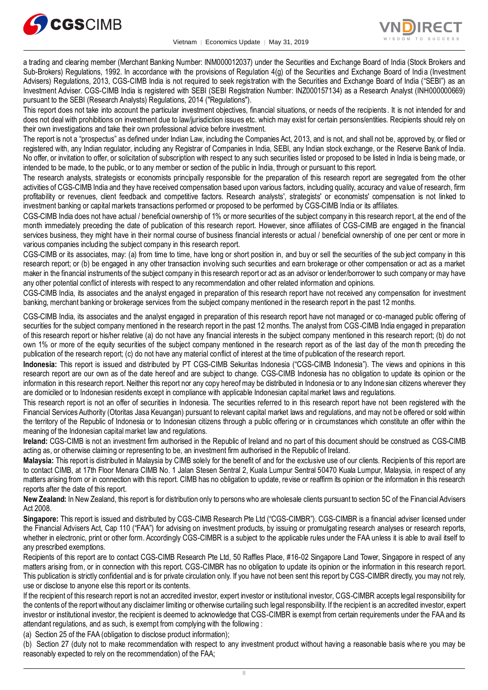



a trading and clearing member (Merchant Banking Number: INM000012037) under the Securities and Exchange Board of India (Stock Brokers and Sub-Brokers) Regulations, 1992. In accordance with the provisions of Regulation 4(g) of the Securities and Exchange Board of India (Investment Advisers) Regulations, 2013, CGS-CIMB India is not required to seek registration with the Securities and Exchange Board of India ("SEBI") as an Investment Adviser. CGS-CIMB India is registered with SEBI (SEBI Registration Number: INZ000157134) as a Research Analyst (INH000000669) pursuant to the SEBI (Research Analysts) Regulations, 2014 ("Regulations").

This report does not take into account the particular investment objectives, financial situations, or needs of the recipients. It is not intended for and does not deal with prohibitions on investment due to law/jurisdiction issues etc. which may exist for certain persons/entities. Recipients should rely on their own investigations and take their own professional advice before investment.

The report is not a "prospectus" as defined under Indian Law, including the Companies Act, 2013, and is not, and shall not be, approved by, or filed or registered with, any Indian regulator, including any Registrar of Companies in India, SEBI, any Indian stock exchange, or the Reserve Bank of India. No offer, or invitation to offer, or solicitation of subscription with respect to any such securities listed or proposed to be listed in India is being made, or intended to be made, to the public, or to any member or section of the public in India, through or pursuant to this report.

The research analysts, strategists or economists principally responsible for the preparation of this research report are segregated from the other activities of CGS-CIMB India and they have received compensation based upon various factors, including quality, accuracy and value of research, firm profitability or revenues, client feedback and competitive factors. Research analysts', strategists' or economists' compensation is not linked to investment banking or capital markets transactions performed or proposed to be performed by CGS-CIMB India or its affiliates.

CGS-CIMB India does not have actual / beneficial ownership of 1% or more securities of the subject company in this research report, at the end of the month immediately preceding the date of publication of this research report. However, since affiliates of CGS-CIMB are engaged in the financial services business, they might have in their normal course of business financial interests or actual / beneficial ownership of one per cent or more in various companies including the subject company in this research report.

CGS-CIMB or its associates, may: (a) from time to time, have long or short position in, and buy or sell the securities of the sub ject company in this research report; or (b) be engaged in any other transaction involving such securities and earn brokerage or other compensation or act as a market maker in the financial instruments of the subject company in this research report or act as an advisor or lender/borrower to such company or may have any other potential conflict of interests with respect to any recommendation and other related information and opinions.

CGS-CIMB India, its associates and the analyst engaged in preparation of this research report have not received any compensation for investment banking, merchant banking or brokerage services from the subject company mentioned in the research report in the past 12 months.

CGS-CIMB India, its associates and the analyst engaged in preparation of this research report have not managed or co-managed public offering of securities for the subject company mentioned in the research report in the past 12 months. The analyst from CGS-CIMB India engaged in preparation of this research report or his/her relative (a) do not have any financial interests in the subject company mentioned in this research report; (b) do not own 1% or more of the equity securities of the subject company mentioned in the research report as of the last day of the mon th preceding the publication of the research report; (c) do not have any material conflict of interest at the time of publication of the research report.

**Indonesia:** This report is issued and distributed by PT CGS-CIMB Sekuritas Indonesia ("CGS-CIMB Indonesia"). The views and opinions in this research report are our own as of the date hereof and are subject to change. CGS-CIMB Indonesia has no obligation to update its opinion or the information in this research report. Neither this report nor any copy hereof may be distributed in Indonesia or to any Indonesian citizens wherever they are domiciled or to Indonesian residents except in compliance with applicable Indonesian capital market laws and regulations.

This research report is not an offer of securities in Indonesia. The securities referred to in this research report have not been registered with the Financial Services Authority (Otoritas Jasa Keuangan) pursuant to relevant capital market laws and regulations, and may not be offered or sold within the territory of the Republic of Indonesia or to Indonesian citizens through a public offering or in circumstances which constitute an offer within the meaning of the Indonesian capital market law and regulations.

**Ireland:** CGS-CIMB is not an investment firm authorised in the Republic of Ireland and no part of this document should be construed as CGS-CIMB acting as, or otherwise claiming or representing to be, an investment firm authorised in the Republic of Ireland.

**Malaysia:** This report is distributed in Malaysia by CIMB solely for the benefit of and for the exclusive use of our clients. Recipients of this report are to contact CIMB, at 17th Floor Menara CIMB No. 1 Jalan Stesen Sentral 2, Kuala Lumpur Sentral 50470 Kuala Lumpur, Malaysia, in respect of any matters arising from or in connection with this report. CIMB has no obligation to update, revise or reaffirm its opinion or the information in this research reports after the date of this report.

**New Zealand:** In New Zealand, this report is for distribution only to persons who are wholesale clients pursuant to section 5C of the Financial Advisers Act 2008.

**Singapore:** This report is issued and distributed by CGS-CIMB Research Pte Ltd ("CGS-CIMBR"). CGS-CIMBR is a financial adviser licensed under the Financial Advisers Act, Cap 110 ("FAA") for advising on investment products, by issuing or promulgating research analyses or research reports, whether in electronic, print or other form. Accordingly CGS-CIMBR is a subject to the applicable rules under the FAA unless it is able to avail itself to any prescribed exemptions.

Recipients of this report are to contact CGS-CIMB Research Pte Ltd, 50 Raffles Place, #16-02 Singapore Land Tower, Singapore in respect of any matters arising from, or in connection with this report. CGS-CIMBR has no obligation to update its opinion or the information in this research report. This publication is strictly confidential and is for private circulation only. If you have not been sent this report by CGS-CIMBR directly, you may not rely, use or disclose to anyone else this report or its contents.

If the recipient of this research report is not an accredited investor, expert investor or institutional investor, CGS-CIMBR accepts legal responsibility for the contents of the report without any disclaimer limiting or otherwise curtailing such legal responsibility. If the recipient is an accredited investor, expert investor or institutional investor, the recipient is deemed to acknowledge that CGS-CIMBR is exempt from certain requirements under the FAA and its attendant regulations, and as such, is exempt from complying with the following :

(a) Section 25 of the FAA (obligation to disclose product information);

(b) Section 27 (duty not to make recommendation with respect to any investment product without having a reasonable basis whe re you may be reasonably expected to rely on the recommendation) of the FAA;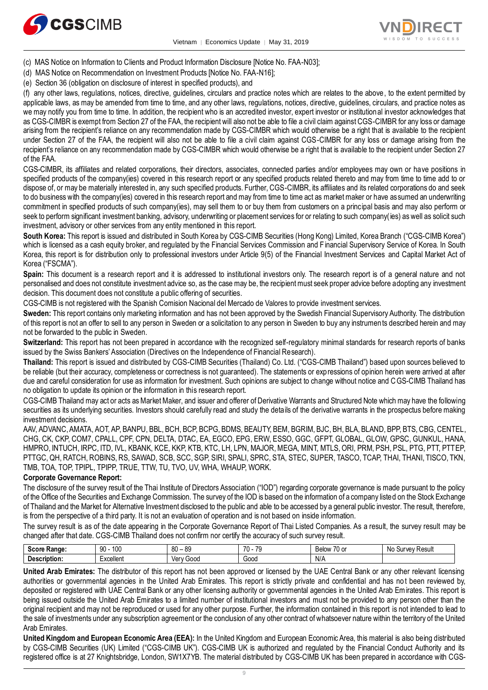



- (c) MAS Notice on Information to Clients and Product Information Disclosure [Notice No. FAA-N03];
- (d) MAS Notice on Recommendation on Investment Products [Notice No. FAA-N16];
- (e) Section 36 (obligation on disclosure of interest in specified products), and

(f) any other laws, regulations, notices, directive, guidelines, circulars and practice notes which are relates to the above, to the extent permitted by applicable laws, as may be amended from time to time, and any other laws, regulations, notices, directive, guidelines, circulars, and practice notes as we may notify you from time to time. In addition, the recipient who is an accredited investor, expert investor or institutional investor acknowledges that as CGS-CIMBR is exempt from Section 27 of the FAA, the recipient will also not be able to file a civil claim against CGS-CIMBR for any loss or damage arising from the recipient's reliance on any recommendation made by CGS-CIMBR which would otherwise be a right that is available to the recipient under Section 27 of the FAA, the recipient will also not be able to file a civil claim against CGS-CIMBR for any loss or damage arising from the recipient's reliance on any recommendation made by CGS-CIMBR which would otherwise be a right that is available to the recipient under Section 27 of the FAA.

CGS-CIMBR, its affiliates and related corporations, their directors, associates, connected parties and/or employees may own or have positions in specified products of the company(ies) covered in this research report or any specified products related thereto and may from time to time add to or dispose of, or may be materially interested in, any such specified products. Further, CGS-CIMBR, its affiliates and its related corporations do and seek to do business with the company(ies) covered in this research report and may from time to time act as market maker or have as sumed an underwriting commitment in specified products of such company(ies), may sell them to or buy them from customers on a principal basis and may also perform or seek to perform significant investment banking, advisory, underwriting or placement services for or relating to such company(ies) as well as solicit such investment, advisory or other services from any entity mentioned in this report.

**South Korea:** This report is issued and distributed in South Korea by CGS-CIMB Securities (Hong Kong) Limited, Korea Branch ("CGS-CIMB Korea") which is licensed as a cash equity broker, and regulated by the Financial Services Commission and Financial Supervisory Service of Korea. In South Korea, this report is for distribution only to professional investors under Article 9(5) of the Financial Investment Services and Capital Market Act of Korea ("FSCMA").

**Spain:** This document is a research report and it is addressed to institutional investors only. The research report is of a general nature and not personalised and does not constitute investment advice so, as the case may be, the recipient must seek proper advice before adopting any investment decision. This document does not constitute a public offering of securities.

CGS-CIMB is not registered with the Spanish Comision Nacional del Mercado de Valores to provide investment services.

**Sweden:** This report contains only marketing information and has not been approved by the Swedish Financial Supervisory Authority. The distribution of this report is not an offer to sell to any person in Sweden or a solicitation to any person in Sweden to buy any instruments described herein and may not be forwarded to the public in Sweden.

**Switzerland:** This report has not been prepared in accordance with the recognized self-regulatory minimal standards for research reports of banks issued by the Swiss Bankers' Association (Directives on the Independence of Financial Research).

**Thailand:** This report is issued and distributed by CGS-CIMB Securities (Thailand) Co. Ltd. ("CGS-CIMB Thailand") based upon sources believed to be reliable (but their accuracy, completeness or correctness is not guaranteed). The statements or expressions of opinion herein were arrived at after due and careful consideration for use as information for investment. Such opinions are subject to change without notice and CGS-CIMB Thailand has no obligation to update its opinion or the information in this research report.

CGS-CIMB Thailand may act or acts as Market Maker, and issuer and offerer of Derivative Warrants and Structured Note which may have the following securities as its underlying securities. Investors should carefully read and study the details of the derivative warrants in the prospectus before making investment decisions.

AAV, ADVANC, AMATA, AOT, AP, BANPU, BBL, BCH, BCP, BCPG, BDMS, BEAUTY, BEM, BGRIM, BJC, BH, BLA, BLAND, BPP, BTS, CBG, CENTEL, CHG, CK, CKP, COM7, CPALL, CPF, CPN, DELTA, DTAC, EA, EGCO, EPG, ERW, ESSO, GGC, GFPT, GLOBAL, GLOW, GPSC, GUNKUL, HANA, HMPRO, INTUCH, IRPC, ITD, IVL, KBANK, KCE, KKP, KTB, KTC, LH, LPN, MAJOR, MEGA, MINT, MTLS, ORI, PRM, PSH, PSL, PTG, PTT, PTTEP, PTTGC, QH, RATCH, ROBINS, RS, SAWAD, SCB, SCC, SGP, SIRI, SPALI, SPRC, STA, STEC, SUPER, TASCO, TCAP, THAI, THANI, TISCO, TKN, TMB, TOA, TOP, TPIPL, TPIPP, TRUE, TTW, TU, TVO, UV, WHA, WHAUP, WORK.

#### **Corporate Governance Report:**

The disclosure of the survey result of the Thai Institute of Directors Association ("IOD") regarding corporate governance is made pursuant to the policy of the Office of the Securities and Exchange Commission. The survey of the IOD is based on the information of a company listed on the Stock Exchange of Thailand and the Market for Alternative Investment disclosed to the public and able to be accessed by a general public investor. The result, therefore, is from the perspective of a third party. It is not an evaluation of operation and is not based on inside information.

The survey result is as of the date appearing in the Corporate Governance Report of Thai Listed Companies. As a result, the survey result may be changed after that date. CGS-CIMB Thailand does not confirm nor certify the accuracy of such survey result.

| $S_{\text{max}}$<br>.<br>vanue | 10 <sup>c</sup><br>90<br>טעו | $\circ$<br><b>RC</b><br>ou<br>ັບເ | $\overline{z}$<br>$\overline{\phantom{a}}$<br>ີ | $\rightarrow$<br>OW<br>┘⌒<br>∼<br>ີ<br> | Result<br>N0<br>۱۱۳۱/۵۱<br>י |
|--------------------------------|------------------------------|-----------------------------------|-------------------------------------------------|-----------------------------------------|------------------------------|
| <br>cription.<br>IJ۴<br>.      | $\cdots$<br>-xcellent<br>.   | 000ز<br>\/Ar<br>.                 | Good                                            | NU.<br>N/M                              |                              |

**United Arab Emirates:** The distributor of this report has not been approved or licensed by the UAE Central Bank or any other relevant licensing authorities or governmental agencies in the United Arab Emirates. This report is strictly private and confidential and has not been reviewed by, deposited or registered with UAE Central Bank or any other licensing authority or governmental agencies in the United Arab Emirates. This report is being issued outside the United Arab Emirates to a limited number of institutional investors and must not be provided to any person other than the original recipient and may not be reproduced or used for any other purpose. Further, the information contained in this report is not intended to lead to the sale of investments under any subscription agreement or the conclusion of any other contract of whatsoever nature within the territory of the United Arab Emirates.

**United Kingdom and European Economic Area (EEA):** In the United Kingdom and European Economic Area, this material is also being distributed by CGS-CIMB Securities (UK) Limited ("CGS-CIMB UK"). CGS-CIMB UK is authorized and regulated by the Financial Conduct Authority and its registered office is at 27 Knightsbridge, London, SW1X7YB. The material distributed by CGS-CIMB UK has been prepared in accordance with CGS-